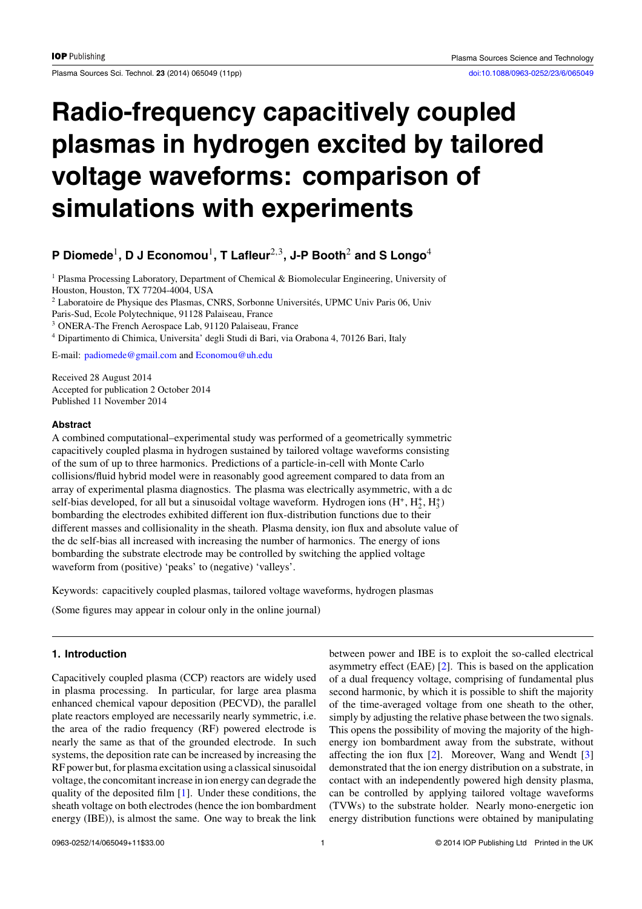Plasma Sources Sci. Technol. **23** (2014) 065049 (11pp) [doi:10.1088/0963-0252/23/6/065049](http://dx.doi.org/10.1088/0963-0252/23/6/065049)

# **Radio-frequency capacitively coupled plasmas in hydrogen excited by tailored voltage waveforms: comparison of simulations with experiments**

## **P Diomede**1**, D J Economou**1**, T Lafleur**2*,*3**, J-P Booth**<sup>2</sup> **and S Longo**<sup>4</sup>

<sup>1</sup> Plasma Processing Laboratory, Department of Chemical & Biomolecular Engineering, University of Houston, Houston, TX 77204-4004, USA <sup>2</sup> Laboratoire de Physique des Plasmas, CNRS, Sorbonne Universités, UPMC Univ Paris 06, Univ

Paris-Sud, Ecole Polytechnique, 91128 Palaiseau, France

<sup>3</sup> ONERA-The French Aerospace Lab, 91120 Palaiseau, France

<sup>4</sup> Dipartimento di Chimica, Universita' degli Studi di Bari, via Orabona 4, 70126 Bari, Italy

E-mail: [padiomede@gmail.com](mailto: padiomede@gmail.com) and [Economou@uh.edu](mailto: Economou@uh.edu)

Received 28 August 2014 Accepted for publication 2 October 2014 Published 11 November 2014

#### **Abstract**

A combined computational–experimental study was performed of a geometrically symmetric capacitively coupled plasma in hydrogen sustained by tailored voltage waveforms consisting of the sum of up to three harmonics. Predictions of a particle-in-cell with Monte Carlo collisions/fluid hybrid model were in reasonably good agreement compared to data from an array of experimental plasma diagnostics. The plasma was electrically asymmetric, with a dc self-bias developed, for all but a sinusoidal voltage waveform. Hydrogen ions  $(H^+, H_2^+, H_3^+)$ bombarding the electrodes exhibited different ion flux-distribution functions due to their different masses and collisionality in the sheath. Plasma density, ion flux and absolute value of the dc self-bias all increased with increasing the number of harmonics. The energy of ions bombarding the substrate electrode may be controlled by switching the applied voltage waveform from (positive) 'peaks' to (negative) 'valleys'.

Keywords: capacitively coupled plasmas, tailored voltage waveforms, hydrogen plasmas

(Some figures may appear in colour only in the online journal)

#### **1. Introduction**

Capacitively coupled plasma (CCP) reactors are widely used in plasma processing. In particular, for large area plasma enhanced chemical vapour deposition (PECVD), the parallel plate reactors employed are necessarily nearly symmetric, i.e. the area of the radio frequency (RF) powered electrode is nearly the same as that of the grounded electrode. In such systems, the deposition rate can be increased by increasing the RF power but, for plasma excitation using a classical sinusoidal voltage, the concomitant increase in ion energy can degrade the quality of the deposited film [\[1\]](#page-9-0). Under these conditions, the sheath voltage on both electrodes (hence the ion bombardment energy (IBE)), is almost the same. One way to break the link

between power and IBE is to exploit the so-called electrical asymmetry effect (EAE) [\[2\]](#page-9-0). This is based on the application of a dual frequency voltage, comprising of fundamental plus second harmonic, by which it is possible to shift the majority of the time-averaged voltage from one sheath to the other, simply by adjusting the relative phase between the two signals. This opens the possibility of moving the majority of the highenergy ion bombardment away from the substrate, without affecting the ion flux [\[2\]](#page-9-0). Moreover, Wang and Wendt [\[3\]](#page-9-0) demonstrated that the ion energy distribution on a substrate, in contact with an independently powered high density plasma, can be controlled by applying tailored voltage waveforms (TVWs) to the substrate holder. Nearly mono-energetic ion energy distribution functions were obtained by manipulating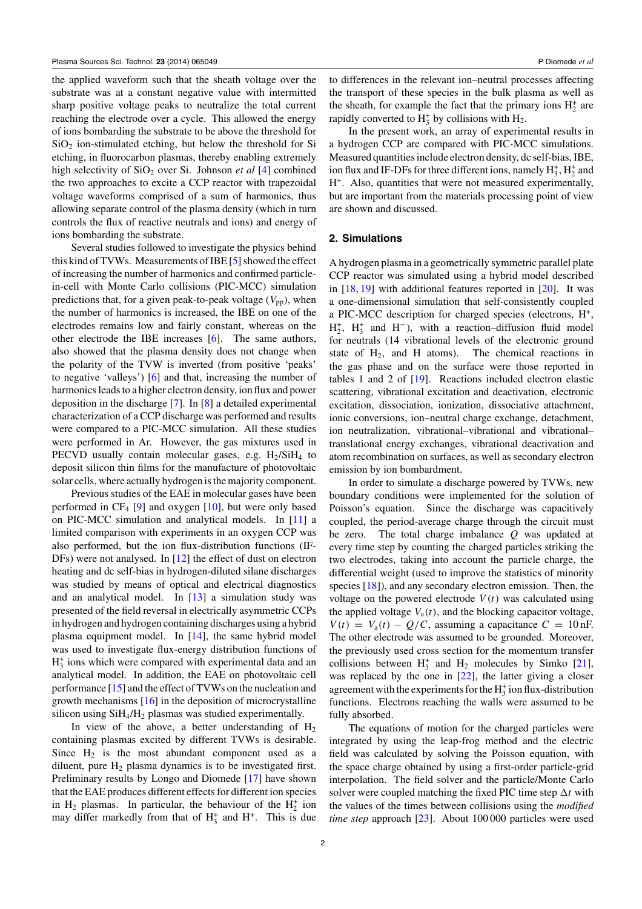the applied waveform such that the sheath voltage over the substrate was at a constant negative value with intermitted sharp positive voltage peaks to neutralize the total current reaching the electrode over a cycle. This allowed the energy of ions bombarding the substrate to be above the threshold for  $SiO<sub>2</sub>$  ion-stimulated etching, but below the threshold for Si etching, in fluorocarbon plasmas, thereby enabling extremely high selectivity of SiO<sub>2</sub> over Si. Johnson *et al* [\[4\]](#page-9-0) combined the two approaches to excite a CCP reactor with trapezoidal voltage waveforms comprised of a sum of harmonics, thus allowing separate control of the plasma density (which in turn controls the flux of reactive neutrals and ions) and energy of ions bombarding the substrate.

Several studies followed to investigate the physics behind this kind of TVWs. Measurements of IBE [\[5\]](#page-9-0) showed the effect of increasing the number of harmonics and confirmed particlein-cell with Monte Carlo collisions (PIC-MCC) simulation predictions that, for a given peak-to-peak voltage  $(V_{\text{pp}})$ , when the number of harmonics is increased, the IBE on one of the electrodes remains low and fairly constant, whereas on the other electrode the IBE increases [\[6\]](#page-9-0). The same authors, also showed that the plasma density does not change when the polarity of the TVW is inverted (from positive 'peaks' to negative 'valleys') [\[6\]](#page-9-0) and that, increasing the number of harmonics leads to a higher electron density, ion flux and power deposition in the discharge [\[7\]](#page-9-0). In [\[8\]](#page-9-0) a detailed experimental characterization of a CCP discharge was performed and results were compared to a PIC-MCC simulation. All these studies were performed in Ar. However, the gas mixtures used in PECVD usually contain molecular gases, e.g.  $H<sub>2</sub>/SiH<sub>4</sub>$  to deposit silicon thin films for the manufacture of photovoltaic solar cells, where actually hydrogen is the majority component.

Previous studies of the EAE in molecular gases have been performed in  $CF_4$  [\[9\]](#page-9-0) and oxygen [\[10\]](#page-9-0), but were only based on PIC-MCC simulation and analytical models. In [\[11\]](#page-9-0) a limited comparison with experiments in an oxygen CCP was also performed, but the ion flux-distribution functions (IF-DFs) were not analysed. In [\[12\]](#page-9-0) the effect of dust on electron heating and dc self-bias in hydrogen-diluted silane discharges was studied by means of optical and electrical diagnostics and an analytical model. In [\[13\]](#page-9-0) a simulation study was presented of the field reversal in electrically asymmetric CCPs in hydrogen and hydrogen containing discharges using a hybrid plasma equipment model. In [\[14\]](#page-9-0), the same hybrid model was used to investigate flux-energy distribution functions of  $H_3^+$  ions which were compared with experimental data and an analytical model. In addition, the EAE on photovoltaic cell performance [\[15\]](#page-9-0) and the effect of TVWs on the nucleation and growth mechanisms [\[16\]](#page-9-0) in the deposition of microcrystalline silicon using  $SiH<sub>4</sub>/H<sub>2</sub>$  plasmas was studied experimentally.

In view of the above, a better understanding of  $H_2$ containing plasmas excited by different TVWs is desirable. Since  $H_2$  is the most abundant component used as a diluent, pure  $H_2$  plasma dynamics is to be investigated first. Preliminary results by Longo and Diomede [\[17\]](#page-9-0) have shown that the EAE produces different effects for different ion species in  $H_2$  plasmas. In particular, the behaviour of the  $H_2^+$  ion may differ markedly from that of  $H_3^+$  and  $H^+$ . This is due

to differences in the relevant ion–neutral processes affecting the transport of these species in the bulk plasma as well as the sheath, for example the fact that the primary ions  $H_2^+$  are rapidly converted to  $H_3^+$  by collisions with  $H_2$ .

In the present work, an array of experimental results in a hydrogen CCP are compared with PIC-MCC simulations. Measured quantities include electron density, dc self-bias, IBE, ion flux and IF-DFs for three different ions, namely  $H_3^*$ ,  $H_2^*$  and H+. Also, quantities that were not measured experimentally, but are important from the materials processing point of view are shown and discussed.

### **2. Simulations**

A hydrogen plasma in a geometrically symmetric parallel plate CCP reactor was simulated using a hybrid model described in  $[18, 19]$  $[18, 19]$  $[18, 19]$  with additional features reported in  $[20]$ . It was a one-dimensional simulation that self-consistently coupled a PIC-MCC description for charged species (electrons, H+,  $H_2^+$ ,  $H_3^+$  and  $H^-$ ), with a reaction–diffusion fluid model for neutrals (14 vibrational levels of the electronic ground state of  $H_2$ , and H atoms). The chemical reactions in the gas phase and on the surface were those reported in tables 1 and 2 of [\[19\]](#page-10-0). Reactions included electron elastic scattering, vibrational excitation and deactivation, electronic excitation, dissociation, ionization, dissociative attachment, ionic conversions, ion–neutral charge exchange, detachment, ion neutralization, vibrational–vibrational and vibrational– translational energy exchanges, vibrational deactivation and atom recombination on surfaces, as well as secondary electron emission by ion bombardment.

In order to simulate a discharge powered by TVWs, new boundary conditions were implemented for the solution of Poisson's equation. Since the discharge was capacitively coupled, the period-average charge through the circuit must be zero. The total charge imbalance *Q* was updated at every time step by counting the charged particles striking the two electrodes, taking into account the particle charge, the differential weight (used to improve the statistics of minority species [\[18\]](#page-9-0)), and any secondary electron emission. Then, the voltage on the powered electrode  $V(t)$  was calculated using the applied voltage  $V_a(t)$ , and the blocking capacitor voltage,  $V(t) = V_a(t) - Q/C$ , assuming a capacitance  $C = 10$  nF. The other electrode was assumed to be grounded. Moreover, the previously used cross section for the momentum transfer collisions between  $H_3^+$  and  $H_2$  molecules by Simko [\[21\]](#page-10-0), was replaced by the one in [\[22\]](#page-10-0), the latter giving a closer agreement with the experiments for the  $H_3^+$  ion flux-distribution functions. Electrons reaching the walls were assumed to be fully absorbed.

The equations of motion for the charged particles were integrated by using the leap-frog method and the electric field was calculated by solving the Poisson equation, with the space charge obtained by using a first-order particle-grid interpolation. The field solver and the particle/Monte Carlo solver were coupled matching the fixed PIC time step  $\Delta t$  with the values of the times between collisions using the *modified time step* approach [\[23\]](#page-10-0). About 100 000 particles were used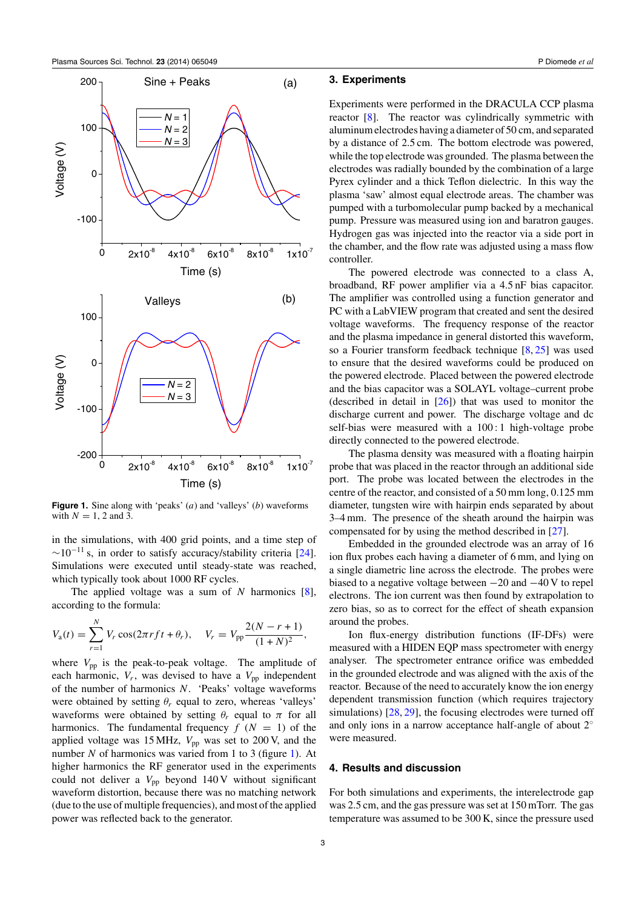

**Figure 1.** Sine along with 'peaks' (*a*) and 'valleys' (*b*) waveforms with  $N = 1, 2$  and 3.

in the simulations, with 400 grid points, and a time step of  $\sim$ 10<sup>-11</sup> s, in order to satisfy accuracy/stability criteria [\[24\]](#page-10-0). Simulations were executed until steady-state was reached, which typically took about 1000 RF cycles.

The applied voltage was a sum of *N* harmonics [\[8\]](#page-9-0), according to the formula:

$$
V_{\rm a}(t) = \sum_{r=1}^{N} V_r \cos(2\pi r f t + \theta_r), \quad V_r = V_{\rm pp} \frac{2(N - r + 1)}{(1 + N)^2},
$$

where  $V_{\text{pp}}$  is the peak-to-peak voltage. The amplitude of each harmonic,  $V_r$ , was devised to have a  $V_{\text{pp}}$  independent of the number of harmonics *N*. 'Peaks' voltage waveforms were obtained by setting  $\theta_r$  equal to zero, whereas 'valleys' waveforms were obtained by setting  $\theta_r$  equal to  $\pi$  for all harmonics. The fundamental frequency  $f(N = 1)$  of the applied voltage was 15 MHz,  $V_{\text{pp}}$  was set to 200 V, and the number *N* of harmonics was varied from 1 to 3 (figure 1). At higher harmonics the RF generator used in the experiments could not deliver a  $V_{\text{pp}}$  beyond 140 V without significant waveform distortion, because there was no matching network (due to the use of multiple frequencies), and most of the applied power was reflected back to the generator.

#### **3. Experiments**

Experiments were performed in the DRACULA CCP plasma reactor [\[8\]](#page-9-0). The reactor was cylindrically symmetric with aluminum electrodes having a diameter of 50 cm, and separated by a distance of 2.5 cm. The bottom electrode was powered, while the top electrode was grounded. The plasma between the electrodes was radially bounded by the combination of a large Pyrex cylinder and a thick Teflon dielectric. In this way the plasma 'saw' almost equal electrode areas. The chamber was pumped with a turbomolecular pump backed by a mechanical pump. Pressure was measured using ion and baratron gauges. Hydrogen gas was injected into the reactor via a side port in the chamber, and the flow rate was adjusted using a mass flow controller.

The powered electrode was connected to a class A, broadband, RF power amplifier via a 4.5 nF bias capacitor. The amplifier was controlled using a function generator and PC with a LabVIEW program that created and sent the desired voltage waveforms. The frequency response of the reactor and the plasma impedance in general distorted this waveform, so a Fourier transform feedback technique [\[8,](#page-9-0) [25\]](#page-10-0) was used to ensure that the desired waveforms could be produced on the powered electrode. Placed between the powered electrode and the bias capacitor was a SOLAYL voltage–current probe (described in detail in  $[26]$ ) that was used to monitor the discharge current and power. The discharge voltage and dc self-bias were measured with a 100 : 1 high-voltage probe directly connected to the powered electrode.

The plasma density was measured with a floating hairpin probe that was placed in the reactor through an additional side port. The probe was located between the electrodes in the centre of the reactor, and consisted of a 50 mm long, 0.125 mm diameter, tungsten wire with hairpin ends separated by about 3–4 mm. The presence of the sheath around the hairpin was compensated for by using the method described in [\[27\]](#page-10-0).

Embedded in the grounded electrode was an array of 16 ion flux probes each having a diameter of 6 mm, and lying on a single diametric line across the electrode. The probes were biased to a negative voltage between −20 and −40 V to repel electrons. The ion current was then found by extrapolation to zero bias, so as to correct for the effect of sheath expansion around the probes.

Ion flux-energy distribution functions (IF-DFs) were measured with a HIDEN EQP mass spectrometer with energy analyser. The spectrometer entrance orifice was embedded in the grounded electrode and was aligned with the axis of the reactor. Because of the need to accurately know the ion energy dependent transmission function (which requires trajectory simulations) [\[28,](#page-10-0) [29\]](#page-10-0), the focusing electrodes were turned off and only ions in a narrow acceptance half-angle of about 2◦ were measured.

#### **4. Results and discussion**

For both simulations and experiments, the interelectrode gap was 2.5 cm, and the gas pressure was set at 150 mTorr. The gas temperature was assumed to be 300 K, since the pressure used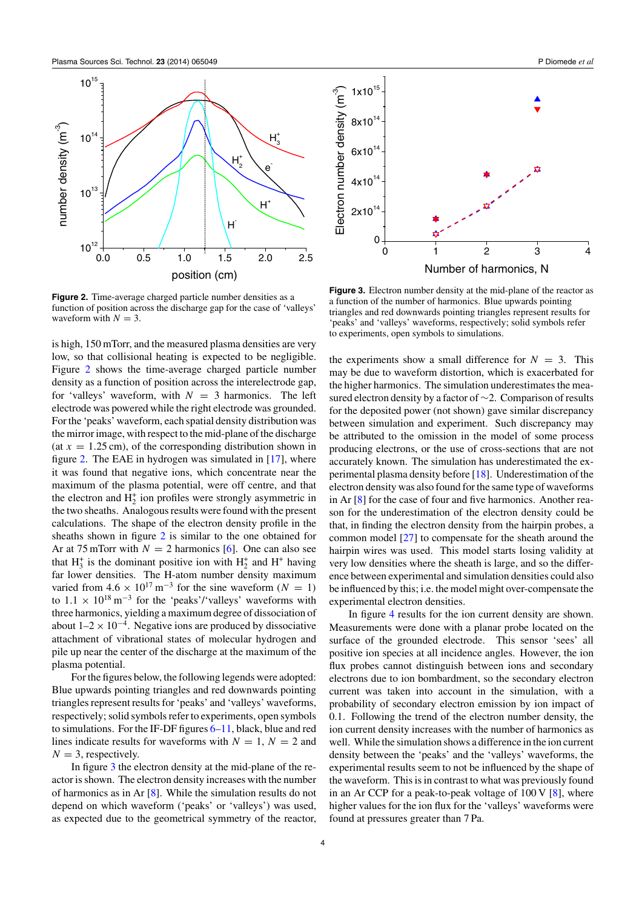<span id="page-3-0"></span>

**Figure 2.** Time-average charged particle number densities as a function of position across the discharge gap for the case of 'valleys' waveform with  $N = 3$ .

is high, 150 mTorr, and the measured plasma densities are very low, so that collisional heating is expected to be negligible. Figure 2 shows the time-average charged particle number density as a function of position across the interelectrode gap, for 'valleys' waveform, with  $N = 3$  harmonics. The left electrode was powered while the right electrode was grounded. For the 'peaks' waveform, each spatial density distribution was the mirror image, with respect to the mid-plane of the discharge (at  $x = 1.25$  cm), of the corresponding distribution shown in figure 2. The EAE in hydrogen was simulated in [\[17\]](#page-9-0), where it was found that negative ions, which concentrate near the maximum of the plasma potential, were off centre, and that the electron and  $H_2^+$  ion profiles were strongly asymmetric in the two sheaths. Analogous results were found with the present calculations. The shape of the electron density profile in the sheaths shown in figure 2 is similar to the one obtained for Ar at 75 mTorr with  $N = 2$  harmonics [\[6\]](#page-9-0). One can also see that  $H_3^+$  is the dominant positive ion with  $H_2^+$  and  $H^+$  having far lower densities. The H-atom number density maximum varied from  $4.6 \times 10^{17} \text{ m}^{-3}$  for the sine waveform ( $N = 1$ ) to  $1.1 \times 10^{18} \text{ m}^{-3}$  for the 'peaks'/'valleys' waveforms with three harmonics, yielding a maximum degree of dissociation of about  $1-2 \times 10^{-4}$ . Negative ions are produced by dissociative attachment of vibrational states of molecular hydrogen and pile up near the center of the discharge at the maximum of the plasma potential.

For the figures below, the following legends were adopted: Blue upwards pointing triangles and red downwards pointing triangles represent results for 'peaks' and 'valleys' waveforms, respectively; solid symbols refer to experiments, open symbols to simulations. For the IF-DF figures [6–](#page-4-0)[11,](#page-7-0) black, blue and red lines indicate results for waveforms with  $N = 1$ ,  $N = 2$  and  $N = 3$ , respectively.

In figure 3 the electron density at the mid-plane of the reactor is shown. The electron density increases with the number of harmonics as in Ar [\[8\]](#page-9-0). While the simulation results do not depend on which waveform ('peaks' or 'valleys') was used, as expected due to the geometrical symmetry of the reactor,



**Figure 3.** Electron number density at the mid-plane of the reactor as a function of the number of harmonics. Blue upwards pointing triangles and red downwards pointing triangles represent results for 'peaks' and 'valleys' waveforms, respectively; solid symbols refer to experiments, open symbols to simulations.

the experiments show a small difference for  $N = 3$ . This may be due to waveform distortion, which is exacerbated for the higher harmonics. The simulation underestimates the measured electron density by a factor of ∼2. Comparison of results for the deposited power (not shown) gave similar discrepancy between simulation and experiment. Such discrepancy may be attributed to the omission in the model of some process producing electrons, or the use of cross-sections that are not accurately known. The simulation has underestimated the experimental plasma density before [\[18\]](#page-9-0). Underestimation of the electron density was also found for the same type of waveforms in Ar [\[8\]](#page-9-0) for the case of four and five harmonics. Another reason for the underestimation of the electron density could be that, in finding the electron density from the hairpin probes, a common model [\[27\]](#page-10-0) to compensate for the sheath around the hairpin wires was used. This model starts losing validity at very low densities where the sheath is large, and so the difference between experimental and simulation densities could also be influenced by this; i.e. the model might over-compensate the experimental electron densities.

In figure [4](#page-4-0) results for the ion current density are shown. Measurements were done with a planar probe located on the surface of the grounded electrode. This sensor 'sees' all positive ion species at all incidence angles. However, the ion flux probes cannot distinguish between ions and secondary electrons due to ion bombardment, so the secondary electron current was taken into account in the simulation, with a probability of secondary electron emission by ion impact of 0.1. Following the trend of the electron number density, the ion current density increases with the number of harmonics as well. While the simulation shows a difference in the ion current density between the 'peaks' and the 'valleys' waveforms, the experimental results seem to not be influenced by the shape of the waveform. This is in contrast to what was previously found in an Ar CCP for a peak-to-peak voltage of  $100 \text{ V}$  [\[8\]](#page-9-0), where higher values for the ion flux for the 'valleys' waveforms were found at pressures greater than 7 Pa.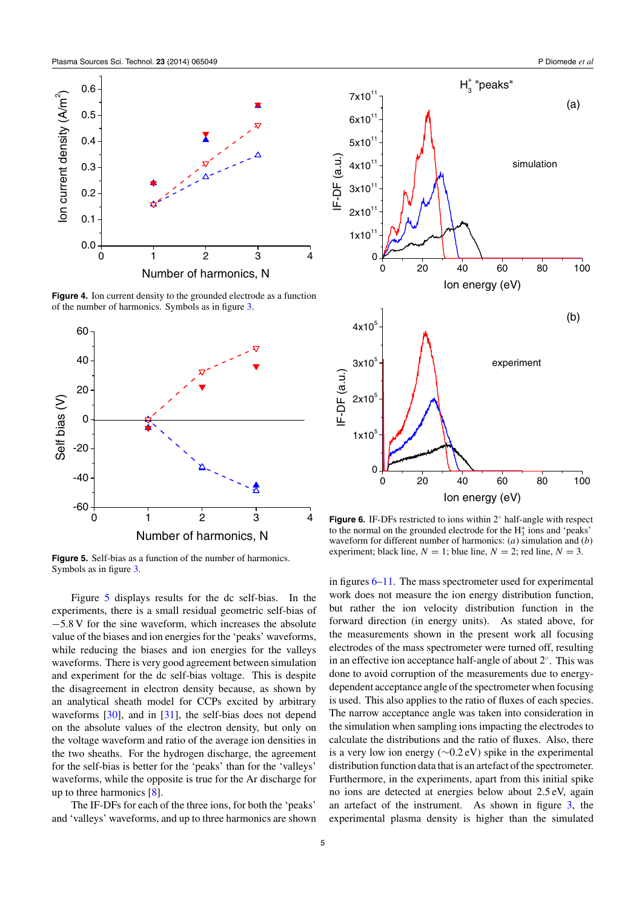<span id="page-4-0"></span>

**Figure 4.** Ion current density to the grounded electrode as a function of the number of harmonics. Symbols as in figure [3.](#page-3-0)



**Figure 5.** Self-bias as a function of the number of harmonics. Symbols as in figure [3.](#page-3-0)

Figure 5 displays results for the dc self-bias. In the experiments, there is a small residual geometric self-bias of −5.8 V for the sine waveform, which increases the absolute value of the biases and ion energies for the 'peaks' waveforms, while reducing the biases and ion energies for the valleys waveforms. There is very good agreement between simulation and experiment for the dc self-bias voltage. This is despite the disagreement in electron density because, as shown by an analytical sheath model for CCPs excited by arbitrary waveforms [\[30\]](#page-10-0), and in [\[31\]](#page-10-0), the self-bias does not depend on the absolute values of the electron density, but only on the voltage waveform and ratio of the average ion densities in the two sheaths. For the hydrogen discharge, the agreement for the self-bias is better for the 'peaks' than for the 'valleys' waveforms, while the opposite is true for the Ar discharge for up to three harmonics [\[8\]](#page-9-0).

The IF-DFs for each of the three ions, for both the 'peaks' and 'valleys' waveforms, and up to three harmonics are shown



**Figure 6.** IF-DFs restricted to ions within 2◦ half-angle with respect to the normal on the grounded electrode for the  $H_3^+$  ions and 'peaks' waveform for different number of harmonics: (*a*) simulation and (*b*) experiment; black line,  $N = 1$ ; blue line,  $N = 2$ ; red line,  $N = 3$ .

in figures 6[–11.](#page-7-0) The mass spectrometer used for experimental work does not measure the ion energy distribution function, but rather the ion velocity distribution function in the forward direction (in energy units). As stated above, for the measurements shown in the present work all focusing electrodes of the mass spectrometer were turned off, resulting in an effective ion acceptance half-angle of about 2◦. This was done to avoid corruption of the measurements due to energydependent acceptance angle of the spectrometer when focusing is used. This also applies to the ratio of fluxes of each species. The narrow acceptance angle was taken into consideration in the simulation when sampling ions impacting the electrodes to calculate the distributions and the ratio of fluxes. Also, there is a very low ion energy (∼0.2 eV) spike in the experimental distribution function data that is an artefact of the spectrometer. Furthermore, in the experiments, apart from this initial spike no ions are detected at energies below about 2.5 eV, again an artefact of the instrument. As shown in figure [3,](#page-3-0) the experimental plasma density is higher than the simulated

5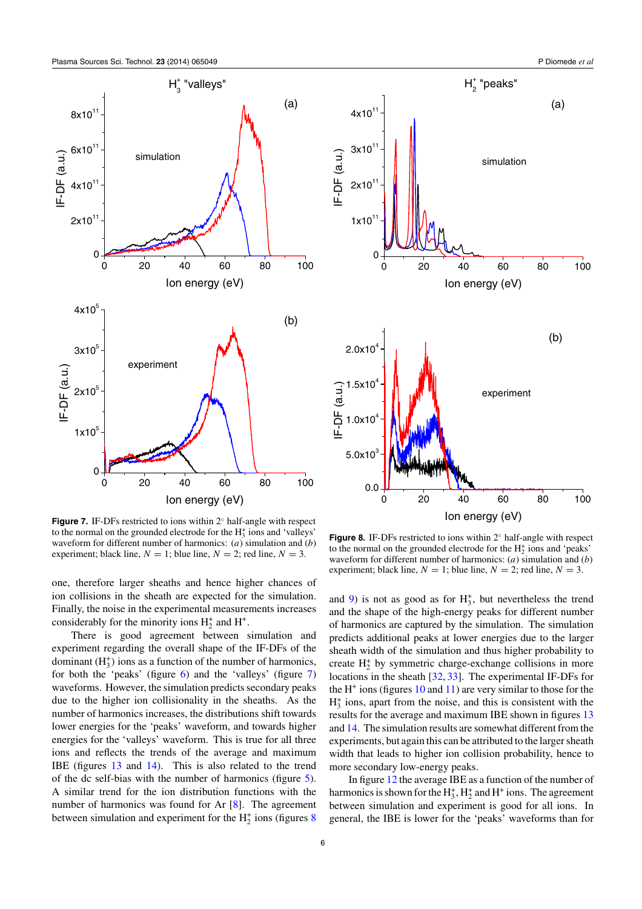<span id="page-5-0"></span>

0 20 40 60 80 100 Ion energy (eV)  $H_2^*$  "peaks" (a) simulation



 $\overline{0}$ 

 $1x10<sup>1</sup>$ 

2x10

IF-DF (a.u.)

3x10

4x10

**Figure 7.** IF-DFs restricted to ions within 2◦ half-angle with respect to the normal on the grounded electrode for the  $H_3^+$  ions and 'valleys' waveform for different number of harmonics: (*a*) simulation and (*b*) experiment; black line,  $N = 1$ ; blue line,  $N = 2$ ; red line,  $N = 3$ .

one, therefore larger sheaths and hence higher chances of ion collisions in the sheath are expected for the simulation. Finally, the noise in the experimental measurements increases considerably for the minority ions  $H_2^+$  and  $H^+$ .

There is good agreement between simulation and experiment regarding the overall shape of the IF-DFs of the dominant  $(H_3^+)$  ions as a function of the number of harmonics, for both the 'peaks' (figure  $\overline{6}$ ) and the 'valleys' (figure  $\overline{7}$ ) waveforms. However, the simulation predicts secondary peaks due to the higher ion collisionality in the sheaths. As the number of harmonics increases, the distributions shift towards lower energies for the 'peaks' waveform, and towards higher energies for the 'valleys' waveform. This is true for all three ions and reflects the trends of the average and maximum IBE (figures [13](#page-8-0) and [14\)](#page-8-0). This is also related to the trend of the dc self-bias with the number of harmonics (figure [5\)](#page-4-0). A similar trend for the ion distribution functions with the number of harmonics was found for Ar [\[8\]](#page-9-0). The agreement between simulation and experiment for the  $H_2^+$  ions (figures 8)

0 20 40 60 80 100 Ion energy (eV)

**Figure 8.** IF-DFs restricted to ions within 2◦ half-angle with respect to the normal on the grounded electrode for the  $H_2^+$  ions and 'peaks' waveform for different number of harmonics: (*a*) simulation and (*b*) experiment; black line,  $N = 1$ ; blue line,  $N = 2$ ; red line,  $N = 3$ .

and [9\)](#page-6-0) is not as good as for  $H_3^+$ , but nevertheless the trend and the shape of the high-energy peaks for different number of harmonics are captured by the simulation. The simulation predicts additional peaks at lower energies due to the larger sheath width of the simulation and thus higher probability to create  $H_2^+$  by symmetric charge-exchange collisions in more locations in the sheath [\[32,](#page-10-0) [33\]](#page-10-0). The experimental IF-DFs for the  $H^+$  ions (figures [10](#page-6-0) and [11\)](#page-7-0) are very similar to those for the  $H_3^+$  ions, apart from the noise, and this is consistent with the results for the average and maximum IBE shown in figures [13](#page-8-0) and [14.](#page-8-0) The simulation results are somewhat different from the experiments, but again this can be attributed to the larger sheath width that leads to higher ion collision probability, hence to more secondary low-energy peaks.

In figure [12](#page-7-0) the average IBE as a function of the number of harmonics is shown for the  $H_3^*$ ,  $H_2^+$  and  $H^+$  ions. The agreement between simulation and experiment is good for all ions. In general, the IBE is lower for the 'peaks' waveforms than for

6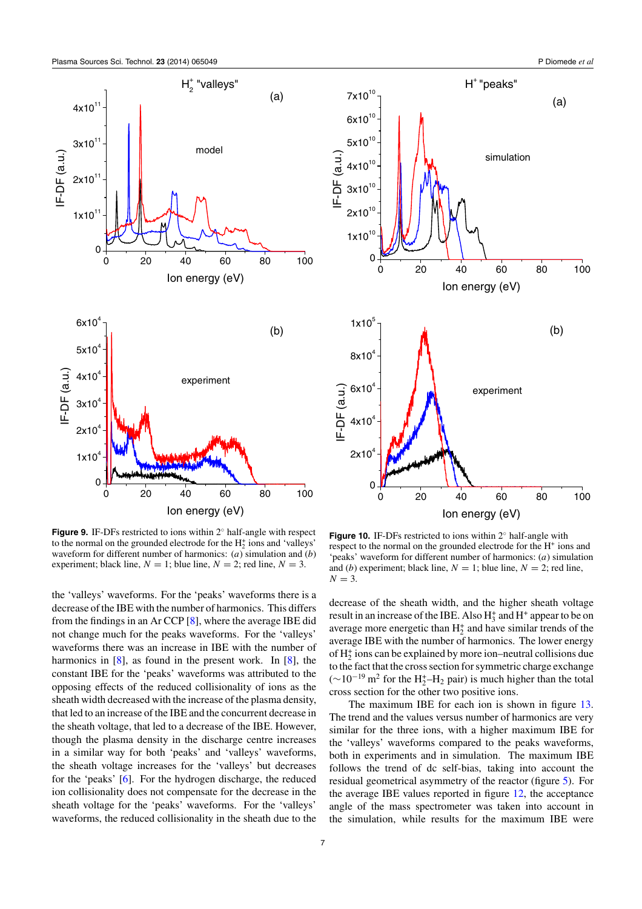

<span id="page-6-0"></span>



**Figure 9.** IF-DFs restricted to ions within 2◦ half-angle with respect to the normal on the grounded electrode for the  $H_2^+$  ions and 'valleys' waveform for different number of harmonics: (*a*) simulation and (*b*) experiment; black line,  $N = 1$ ; blue line,  $N = 2$ ; red line,  $N = 3$ .

the 'valleys' waveforms. For the 'peaks' waveforms there is a decrease of the IBE with the number of harmonics. This differs from the findings in an Ar CCP [\[8\]](#page-9-0), where the average IBE did not change much for the peaks waveforms. For the 'valleys' waveforms there was an increase in IBE with the number of harmonics in [\[8\]](#page-9-0), as found in the present work. In [8], the constant IBE for the 'peaks' waveforms was attributed to the opposing effects of the reduced collisionality of ions as the sheath width decreased with the increase of the plasma density, that led to an increase of the IBE and the concurrent decrease in the sheath voltage, that led to a decrease of the IBE. However, though the plasma density in the discharge centre increases in a similar way for both 'peaks' and 'valleys' waveforms, the sheath voltage increases for the 'valleys' but decreases for the 'peaks' [\[6\]](#page-9-0). For the hydrogen discharge, the reduced ion collisionality does not compensate for the decrease in the sheath voltage for the 'peaks' waveforms. For the 'valleys' waveforms, the reduced collisionality in the sheath due to the

**Figure 10.** IF-DFs restricted to ions within 2◦ half-angle with respect to the normal on the grounded electrode for the H<sup>+</sup> ions and 'peaks' waveform for different number of harmonics: (*a*) simulation and (*b*) experiment; black line,  $N = 1$ ; blue line,  $N = 2$ ; red line,  $N = 3$ .

decrease of the sheath width, and the higher sheath voltage result in an increase of the IBE. Also  $H_3^+$  and  $H^+$  appear to be on average more energetic than  $H_2^+$  and have similar trends of the average IBE with the number of harmonics. The lower energy of  $H_2^+$  ions can be explained by more ion–neutral collisions due to the fact that the cross section for symmetric charge exchange  $(\sim 10^{-19} \,\mathrm{m}^2$  for the H<sub>2</sub><sup>+</sup>-H<sub>2</sub> pair) is much higher than the total cross section for the other two positive ions.

The maximum IBE for each ion is shown in figure [13.](#page-8-0) The trend and the values versus number of harmonics are very similar for the three ions, with a higher maximum IBE for the 'valleys' waveforms compared to the peaks waveforms, both in experiments and in simulation. The maximum IBE follows the trend of dc self-bias, taking into account the residual geometrical asymmetry of the reactor (figure [5\)](#page-4-0). For the average IBE values reported in figure [12,](#page-7-0) the acceptance angle of the mass spectrometer was taken into account in the simulation, while results for the maximum IBE were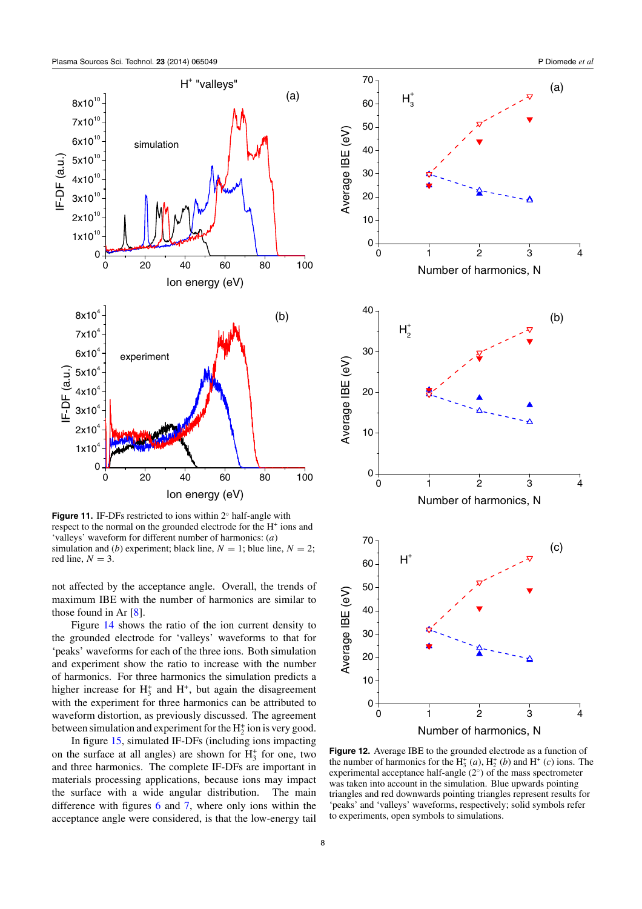<span id="page-7-0"></span>

**Figure 11.** IF-DFs restricted to ions within 2◦ half-angle with respect to the normal on the grounded electrode for the H<sup>+</sup> ions and 'valleys' waveform for different number of harmonics: (*a*) simulation and (*b*) experiment; black line,  $N = 1$ ; blue line,  $N = 2$ ; red line,  $N = 3$ .

not affected by the acceptance angle. Overall, the trends of maximum IBE with the number of harmonics are similar to those found in Ar [\[8\]](#page-9-0).

Figure [14](#page-8-0) shows the ratio of the ion current density to the grounded electrode for 'valleys' waveforms to that for 'peaks' waveforms for each of the three ions. Both simulation and experiment show the ratio to increase with the number of harmonics. For three harmonics the simulation predicts a higher increase for  $H_3^+$  and  $H^+$ , but again the disagreement with the experiment for three harmonics can be attributed to waveform distortion, as previously discussed. The agreement between simulation and experiment for the  $H_2^+$  ion is very good.

In figure [15,](#page-9-0) simulated IF-DFs (including ions impacting on the surface at all angles) are shown for  $H_3^+$  for one, two and three harmonics. The complete IF-DFs are important in materials processing applications, because ions may impact the surface with a wide angular distribution. The main difference with figures [6](#page-4-0) and [7,](#page-5-0) where only ions within the acceptance angle were considered, is that the low-energy tail





**Figure 12.** Average IBE to the grounded electrode as a function of the number of harmonics for the  $H_3^+(a)$ ,  $H_2^+(b)$  and  $H^+(c)$  ions. The experimental acceptance half-angle (2◦*)* of the mass spectrometer was taken into account in the simulation. Blue upwards pointing triangles and red downwards pointing triangles represent results for 'peaks' and 'valleys' waveforms, respectively; solid symbols refer to experiments, open symbols to simulations.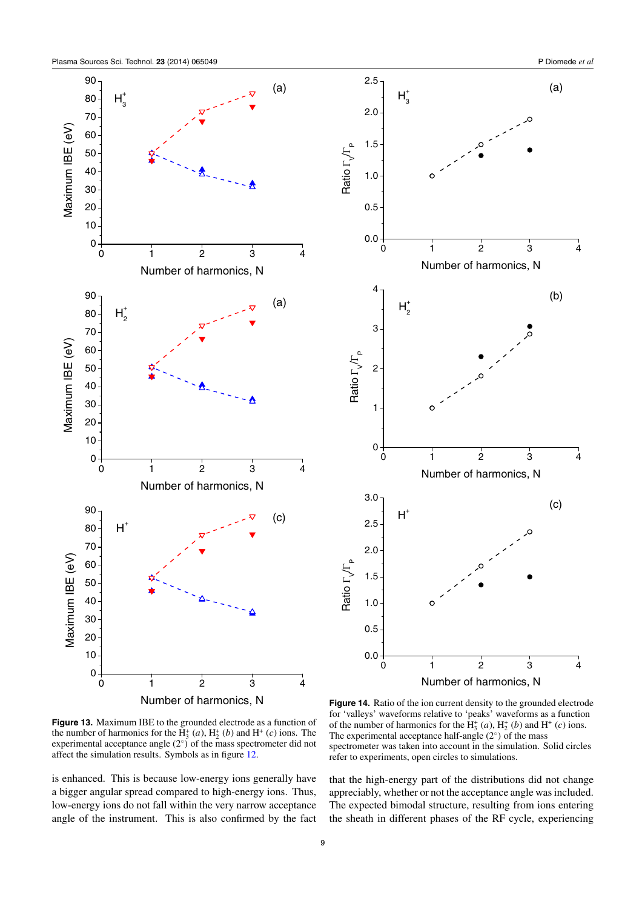<span id="page-8-0"></span>



**Figure 13.** Maximum IBE to the grounded electrode as a function of the number of harmonics for the  $H_3^+(a)$ ,  $H_2^+(b)$  and  $H^+(c)$  ions. The experimental acceptance angle (2◦*)* of the mass spectrometer did not affect the simulation results. Symbols as in figure [12.](#page-7-0)

is enhanced. This is because low-energy ions generally have a bigger angular spread compared to high-energy ions. Thus, low-energy ions do not fall within the very narrow acceptance angle of the instrument. This is also confirmed by the fact

**Figure 14.** Ratio of the ion current density to the grounded electrode for 'valleys' waveforms relative to 'peaks' waveforms as a function of the number of harmonics for the  $H_3^+(a)$ ,  $H_2^+(b)$  and  $H^+(c)$  ions. The experimental acceptance half-angle (2◦*)* of the mass spectrometer was taken into account in the simulation. Solid circles refer to experiments, open circles to simulations.

that the high-energy part of the distributions did not change appreciably, whether or not the acceptance angle was included. The expected bimodal structure, resulting from ions entering the sheath in different phases of the RF cycle, experiencing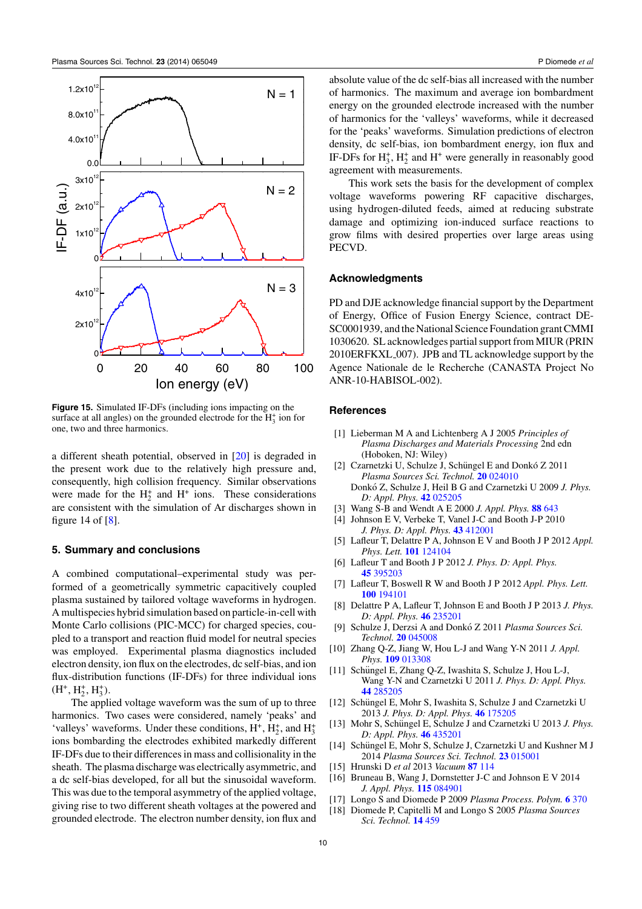<span id="page-9-0"></span>

**Figure 15.** Simulated IF-DFs (including ions impacting on the surface at all angles) on the grounded electrode for the  $H_3^+$  ion for one, two and three harmonics.

a different sheath potential, observed in [\[20\]](#page-10-0) is degraded in the present work due to the relatively high pressure and, consequently, high collision frequency. Similar observations were made for the  $H_2^+$  and  $H^+$  ions. These considerations are consistent with the simulation of Ar discharges shown in figure 14 of  $[8]$ .

#### **5. Summary and conclusions**

A combined computational–experimental study was performed of a geometrically symmetric capacitively coupled plasma sustained by tailored voltage waveforms in hydrogen. A multispecies hybrid simulation based on particle-in-cell with Monte Carlo collisions (PIC-MCC) for charged species, coupled to a transport and reaction fluid model for neutral species was employed. Experimental plasma diagnostics included electron density, ion flux on the electrodes, dc self-bias, and ion flux-distribution functions (IF-DFs) for three individual ions  $(H^+, H_2^+, H_3^+).$ 

The applied voltage waveform was the sum of up to three harmonics. Two cases were considered, namely 'peaks' and 'valleys' waveforms. Under these conditions,  $H^+$ ,  $H_2^+$ , and  $H_3^+$ ions bombarding the electrodes exhibited markedly different IF-DFs due to their differences in mass and collisionality in the sheath. The plasma discharge was electrically asymmetric, and a dc self-bias developed, for all but the sinusoidal waveform. This was due to the temporal asymmetry of the applied voltage, giving rise to two different sheath voltages at the powered and grounded electrode. The electron number density, ion flux and absolute value of the dc self-bias all increased with the number of harmonics. The maximum and average ion bombardment energy on the grounded electrode increased with the number of harmonics for the 'valleys' waveforms, while it decreased for the 'peaks' waveforms. Simulation predictions of electron density, dc self-bias, ion bombardment energy, ion flux and IF-DFs for  $H_3^*$ ,  $H_2^*$  and  $H^*$  were generally in reasonably good agreement with measurements.

This work sets the basis for the development of complex voltage waveforms powering RF capacitive discharges, using hydrogen-diluted feeds, aimed at reducing substrate damage and optimizing ion-induced surface reactions to grow films with desired properties over large areas using PECVD.

#### **Acknowledgments**

PD and DJE acknowledge financial support by the Department of Energy, Office of Fusion Energy Science, contract DE-SC0001939, and the National Science Foundation grant CMMI 1030620. SL acknowledges partial support from MIUR (PRIN 2010ERFKXL 007). JPB and TL acknowledge support by the Agence Nationale de le Recherche (CANASTA Project No ANR-10-HABISOL-002).

#### **References**

- [1] Lieberman M A and Lichtenberg A J 2005 *Principles of Plasma Discharges and Materials Processing* 2nd edn (Hoboken, NJ: Wiley)
- [2] Czarnetzki U, Schulze J, Schüngel E and Donkó Z 2011 *Plasma Sources Sci. Technol.* **20** [024010](http://dx.doi.org/10.1088/0963-0252/20/2/024010) Donkó Z, Schulze J, Heil B G and Czarnetzki U 2009 *J. Phys. D: Appl. Phys.* **42** [025205](http://dx.doi.org/10.1088/0022-3727/42/2/025205)
- [3] Wang S-B and Wendt A E 2000 *J. Appl. Phys.* **88** [643](http://dx.doi.org/10.1063/1.373715)
- [4] Johnson E V, Verbeke T, Vanel J-C and Booth J-P 2010 *J. Phys. D: Appl. Phys.* **43** [412001](http://dx.doi.org/10.1088/0022-3727/43/41/412001)
- [5] Lafleur T, Delattre P A, Johnson E V and Booth J P 2012 *Appl. Phys. Lett.* **101** [124104](http://dx.doi.org/10.1063/1.4754692)
- [6] Lafleur T and Booth J P 2012 *J. Phys. D: Appl. Phys.* **45** [395203](http://dx.doi.org/10.1088/0022-3727/45/39/395203)
- [7] Lafleur T, Boswell R W and Booth J P 2012 *Appl. Phys. Lett.* **100** [194101](http://dx.doi.org/10.1063/1.4712128)
- [8] Delattre P A, Lafleur T, Johnson E and Booth J P 2013 *J. Phys. D: Appl. Phys.* **46** [235201](http://dx.doi.org/10.1088/0022-3727/46/23/235201)
- [9] Schulze J, Derzsi A and Donkó Z 2011 Plasma Sources Sci. *Technol.* **20** [045008](http://dx.doi.org/10.1088/0963-0252/20/4/045008)
- [10] Zhang Q-Z, Jiang W, Hou L-J and Wang Y-N 2011 *J. Appl. Phys.* **109** [013308](http://dx.doi.org/10.1063/1.3530626)
- [11] Schüngel E, Zhang Q-Z, Iwashita S, Schulze J, Hou L-J, Wang Y-N and Czarnetzki U 2011 *J. Phys. D: Appl. Phys.* **44** [285205](http://dx.doi.org/10.1088/0022-3727/44/28/285205)
- [12] Schüngel E, Mohr S, Iwashita S, Schulze J and Czarnetzki U 2013 *J. Phys. D: Appl. Phys.* **46** [175205](http://dx.doi.org/10.1088/0022-3727/46/17/175205)
- [13] Mohr S, Schüngel E, Schulze J and Czarnetzki U 2013 J. Phys. *D: Appl. Phys.* **46** [435201](http://dx.doi.org/10.1088/0022-3727/46/43/435201)
- [14] Schüngel E, Mohr S, Schulze J, Czarnetzki U and Kushner M J 2014 *Plasma Sources Sci. Technol.* **23** [015001](http://dx.doi.org/10.1088/0963-0252/23/1/015001)
- [15] Hrunski D *et al* 2013 *Vacuum* **87** [114](http://dx.doi.org/10.1016/j.vacuum.2012.02.020)
- [16] Bruneau B, Wang J, Dornstetter J-C and Johnson E V 2014 *J. Appl. Phys.* **115** [084901](http://dx.doi.org/10.1063/1.4866693)
- [17] Longo S and Diomede P 2009 *Plasma Process. Polym.* **6** [370](http://dx.doi.org/10.1002/ppap.200800219)
- [18] Diomede P, Capitelli M and Longo S 2005 *Plasma Sources Sci. Technol.* **14** [459](http://dx.doi.org/10.1088/0963-0252/14/3/007)